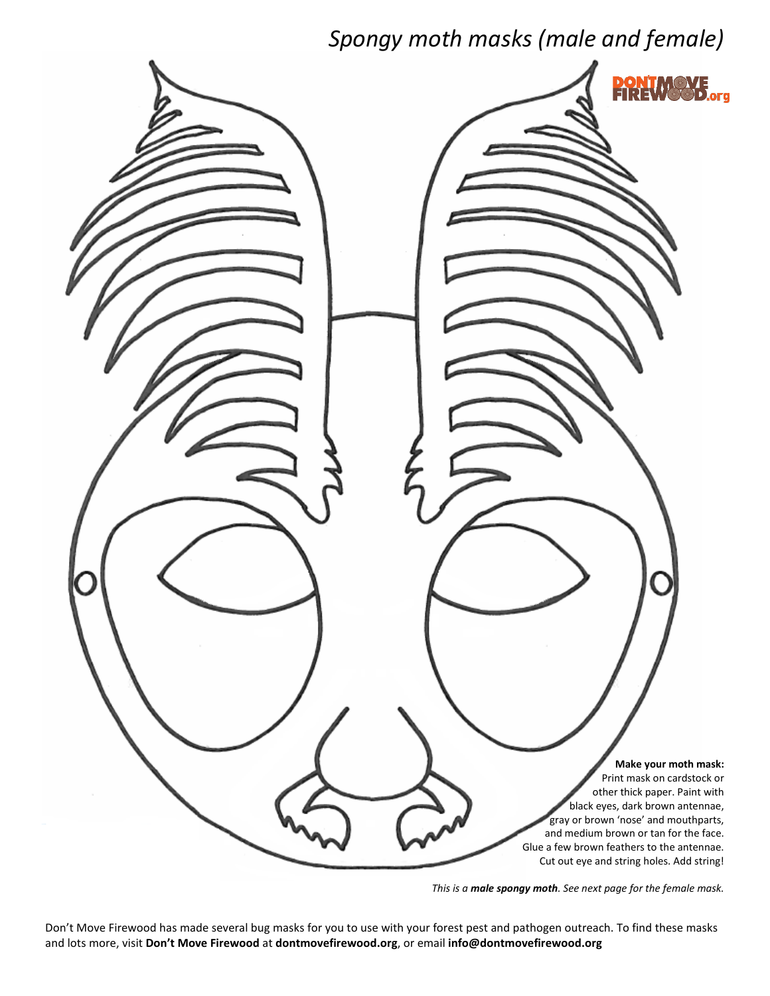## *Spongy moth masks (male and female)*



*This is a male spongy moth. See next page for the female mask.*

Don't Move Firewood has made several bug masks for you to use with your forest pest and pathogen outreach. To find these masks and lots more, visit **Don't Move Firewood** at **dontmovefirewood.org**, or email **info@dontmovefirewood.org**